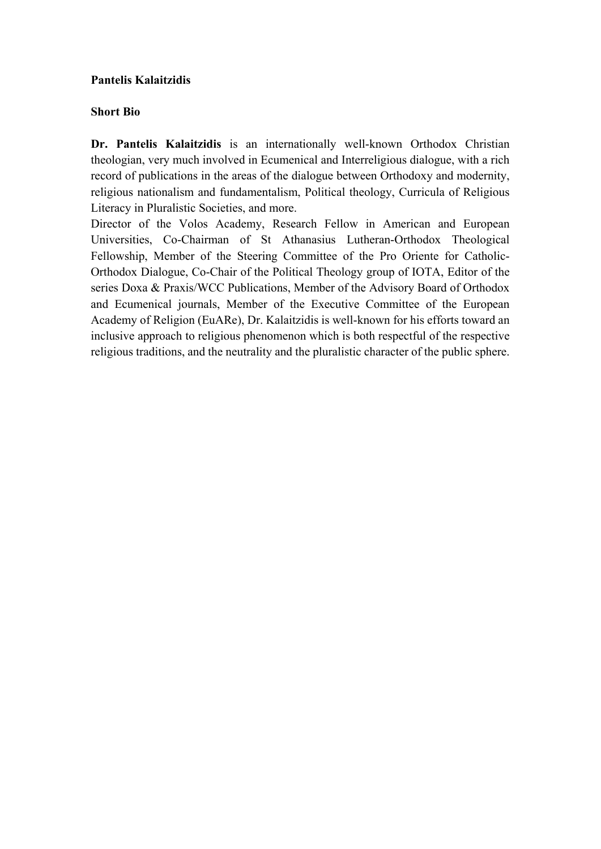# **Pantelis Kalaitzidis**

# **Short Bio**

**Dr. Pantelis Kalaitzidis** is an internationally well-known Orthodox Christian theologian, very much involved in Ecumenical and Interreligious dialogue, with a rich record of publications in the areas of the dialogue between Orthodoxy and modernity, religious nationalism and fundamentalism, Political theology, Curricula of Religious Literacy in Pluralistic Societies, and more.

Director of the Volos Academy, Research Fellow in American and European Universities, Co-Chairman of St Athanasius Lutheran-Orthodox Theological Fellowship, Member of the Steering Committee of the Pro Oriente for Catholic-Orthodox Dialogue, Co-Chair of the Political Theology group of IOTA, Editor of the series Doxa & Praxis/WCC Publications, Member of the Advisory Board of Orthodox and Ecumenical journals, Member of the Executive Committee of the European Academy of Religion (EuARe), Dr. Kalaitzidis is well-known for his efforts toward an inclusive approach to religious phenomenon which is both respectful of the respective religious traditions, and the neutrality and the pluralistic character of the public sphere.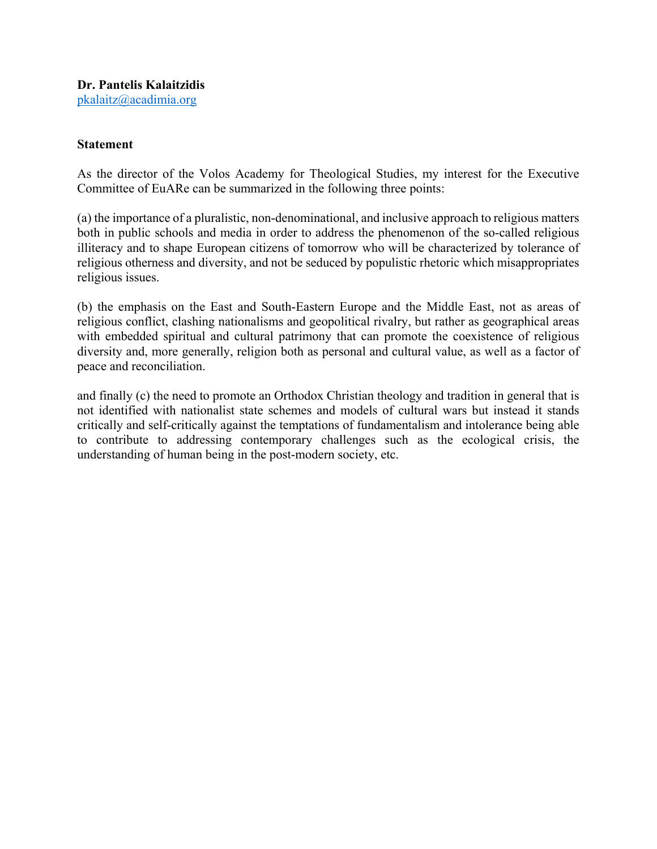# **Statement**

As the director of the Volos Academy for Theological Studies, my interest for the Executive Committee of EuARe can be summarized in the following three points:

(a) the importance of a pluralistic, non-denominational, and inclusive approach to religious matters both in public schools and media in order to address the phenomenon of the so-called religious illiteracy and to shape European citizens of tomorrow who will be characterized by tolerance of religious otherness and diversity, and not be seduced by populistic rhetoric which misappropriates religious issues.

(b) the emphasis on the East and South-Eastern Europe and the Middle East, not as areas of religious conflict, clashing nationalisms and geopolitical rivalry, but rather as geographical areas with embedded spiritual and cultural patrimony that can promote the coexistence of religious diversity and, more generally, religion both as personal and cultural value, as well as a factor of peace and reconciliation.

and finally (c) the need to promote an Orthodox Christian theology and tradition in general that is not identified with nationalist state schemes and models of cultural wars but instead it stands critically and self-critically against the temptations of fundamentalism and intolerance being able to contribute to addressing contemporary challenges such as the ecological crisis, the understanding of human being in the post-modern society, etc.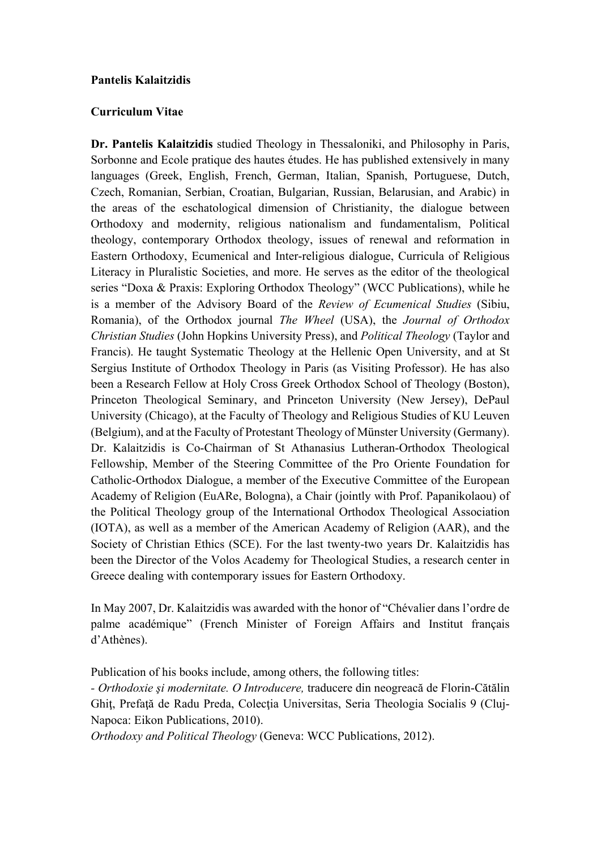# **Pantelis Kalaitzidis**

#### **Curriculum Vitae**

**Dr. Pantelis Kalaitzidis** studied Theology in Thessaloniki, and Philosophy in Paris, Sorbonne and Ecole pratique des hautes études. He has published extensively in many languages (Greek, English, French, German, Italian, Spanish, Portuguese, Dutch, Czech, Romanian, Serbian, Croatian, Bulgarian, Russian, Belarusian, and Arabic) in the areas of the eschatological dimension of Christianity, the dialogue between Orthodoxy and modernity, religious nationalism and fundamentalism, Political theology, contemporary Orthodox theology, issues of renewal and reformation in Eastern Orthodoxy, Ecumenical and Inter-religious dialogue, Curricula of Religious Literacy in Pluralistic Societies, and more. He serves as the editor of the theological series "Doxa & Praxis: Exploring Orthodox Theology" (WCC Publications), while he is a member of the Advisory Board of the *Review of Ecumenical Studies* (Sibiu, Romania), of the Orthodox journal *The Wheel* (USA), the *Journal of Orthodox Christian Studies* (John Hopkins University Press), and *Political Theology* (Taylor and Francis). He taught Systematic Theology at the Hellenic Open University, and at St Sergius Institute of Orthodox Theology in Paris (as Visiting Professor). He has also been a Research Fellow at Holy Cross Greek Orthodox School of Theology (Boston), Princeton Theological Seminary, and Princeton University (New Jersey), DePaul University (Chicago), at the Faculty of Theology and Religious Studies of KU Leuven (Belgium), and at the Faculty of Protestant Theology of Münster University (Germany). Dr. Kalaitzidis is Co-Chairman of St Athanasius Lutheran-Orthodox Theological Fellowship, Member of the Steering Committee of the Pro Oriente Foundation for Catholic-Orthodox Dialogue, a member of the Executive Committee of the European Academy of Religion (EuARe, Bologna), a Chair (jointly with Prof. Papanikolaou) of the Political Theology group of the International Orthodox Theological Association (IOTA), as well as a member of the American Academy of Religion (AAR), and the Society of Christian Ethics (SCE). For the last twenty-two years Dr. Kalaitzidis has been the Director of the Volos Academy for Theological Studies, a research center in Greece dealing with contemporary issues for Eastern Orthodoxy.

In May 2007, Dr. Kalaitzidis was awarded with the honor of "Chévalier dans l'ordre de palme académique" (French Minister of Foreign Affairs and Institut français d'Athènes).

Publication of his books include, among others, the following titles:

*- Orthodoxie şi modernitate. O Introducere,* traducere din neogreacă de Florin-Cătălin Ghiţ, Prefaţă de Radu Preda, Colecţia Universitas, Seria Theologia Socialis 9 (Cluj-Napoca: Eikon Publications, 2010).

*Orthodoxy and Political Theology* (Geneva: WCC Publications, 2012).